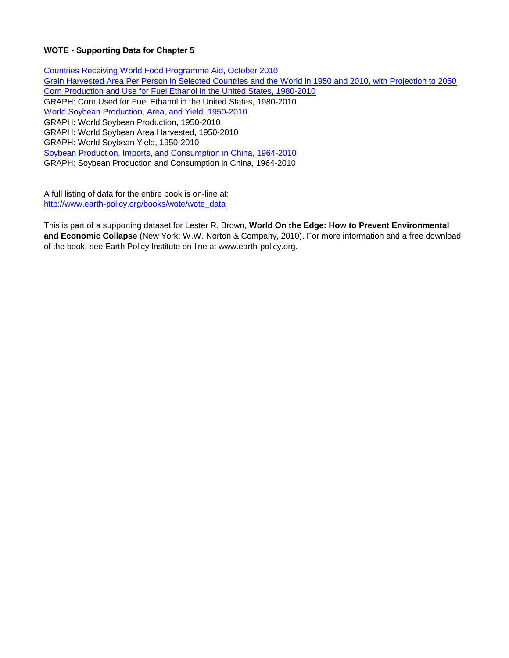# **WOTE - Supporting Data for Chapter 5**

Countries Receiving World Food Programme Aid, October 2010 Grain Harvested Area Per Person in Selected Countries and the World in 1950 and 2010, with Projection to 2050 Corn Production and Use for Fuel Ethanol in the United States, 1980-2010 GRAPH: Corn Used for Fuel Ethanol in the United States, 1980-2010 World Soybean Production, Area, and Yield, 1950-2010 GRAPH: World Soybean Production, 1950-2010 GRAPH: World Soybean Area Harvested, 1950-2010 GRAPH: World Soybean Yield, 1950-2010 Soybean Production, Imports, and Consumption in China, 1964-2010 GRAPH: Soybean Production and Consumption in China, 1964-2010

A full listing of data for the entire book is on-line at: [http://www.earth-policy.org/books/wote/wote\\_data](http://www.earth-policy.org/books/wote/wote_data)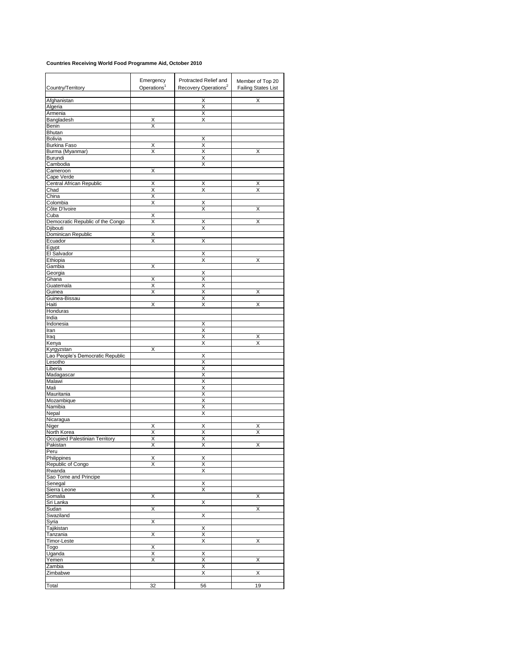## **Countries Receiving World Food Programme Aid, October 2010**

|                                               | Emergency               | Protracted Relief and            | Member of Top 20           |
|-----------------------------------------------|-------------------------|----------------------------------|----------------------------|
| Country/Territory                             | Operations <sup>1</sup> | Recovery Operations <sup>2</sup> | <b>Failing States List</b> |
| Afghanistan                                   |                         | X                                | X                          |
| Algeria                                       |                         | Χ                                |                            |
| Armenia<br>Bangladesh                         | Χ                       | Χ<br>Χ                           |                            |
| Benin                                         | Χ                       |                                  |                            |
| Bhutan                                        |                         |                                  |                            |
| Bolivia                                       |                         | Х                                |                            |
| <b>Burkina Faso</b>                           | X                       | Χ                                |                            |
| Burma (Myanmar)<br>Burundi                    | X                       | X<br>Χ                           | х                          |
| Cambodia                                      |                         | X                                |                            |
| Cameroon                                      | Χ                       |                                  |                            |
| Cape Verde                                    |                         |                                  |                            |
| Central African Republic<br>Chad              | Χ<br>X                  | х<br>Χ                           | х<br>Χ                     |
| China                                         | Χ                       |                                  |                            |
| Colombia                                      | X                       | Χ                                |                            |
| Côte D'Ivoire                                 |                         | Χ                                | х                          |
| Cuba                                          | X                       |                                  |                            |
| Democratic Republic of the Congo<br>Djibouti  | Χ                       | Χ<br>X                           | Χ                          |
| Dominican Republic                            | Χ                       |                                  |                            |
| Ecuador                                       | X                       | X                                |                            |
| Egypt                                         |                         |                                  |                            |
| El Salvador                                   |                         | х                                |                            |
| Ethiopia<br>Gambia                            | X                       | Χ                                | Χ                          |
| Georgia                                       |                         | Χ                                |                            |
| Ghana                                         | Χ                       | Χ                                |                            |
| Guatemala                                     | X                       | Χ                                |                            |
| Guinea                                        | X                       | Χ                                | Χ                          |
| Guinea-Bissau<br>Haiti                        | Χ                       | X<br>Χ                           | X                          |
| Honduras                                      |                         |                                  |                            |
| India                                         |                         |                                  |                            |
| Indonesia                                     |                         | Χ                                |                            |
| Iran<br>Iraq                                  |                         | Χ<br>Χ                           | Χ                          |
| Kenya                                         |                         | X                                | X                          |
| Kyrgyzstan                                    | Χ                       |                                  |                            |
| Lao People's Democratic Republic              |                         | Х                                |                            |
| Lesotho<br>Liberia                            |                         | X<br>X                           |                            |
| Madagascar                                    |                         | Χ                                |                            |
| Malawi                                        |                         | Χ                                |                            |
| Mali                                          |                         | Χ                                |                            |
| Mauritania                                    |                         | Χ<br>Χ                           |                            |
| Mozambique<br>Namibia                         |                         | Χ                                |                            |
| Nepal                                         |                         | х                                |                            |
| Nicaragua                                     |                         |                                  |                            |
| Niger                                         | X                       | X                                | Χ                          |
| North Korea<br>Occupied Palestinian Territory | Χ<br>X                  | Χ<br>Χ                           | Χ                          |
| Pakistan                                      | X                       | X                                | х                          |
| Peru                                          |                         |                                  |                            |
| Philippines                                   | Х                       | X                                |                            |
| Republic of Congo                             | х                       | Χ                                |                            |
| Rwanda<br>Sao Tome and Principe               |                         | Χ                                |                            |
| Senegal                                       |                         | Χ                                |                            |
| Sierra Leone                                  |                         | Χ                                |                            |
| Somalia                                       | Χ                       |                                  | Χ                          |
| Sri Lanka                                     |                         | Χ                                |                            |
| Sudan<br>Swaziland                            | Χ                       | Χ                                | X                          |
| Syria                                         | X                       |                                  |                            |
| Tajikistan                                    |                         | х                                |                            |
| Tanzania                                      | Χ                       | Χ                                |                            |
| Timor-Leste                                   |                         | Χ                                | Χ                          |
| Togo<br>Uganda                                | Х<br>Χ                  | Χ                                |                            |
| Yemen                                         | Χ                       | Χ                                | х                          |
| Zambia                                        |                         | Χ                                |                            |
| Zimbabwe                                      |                         | Х                                | X                          |
| Total                                         | 32                      | 56                               | 19                         |
|                                               |                         |                                  |                            |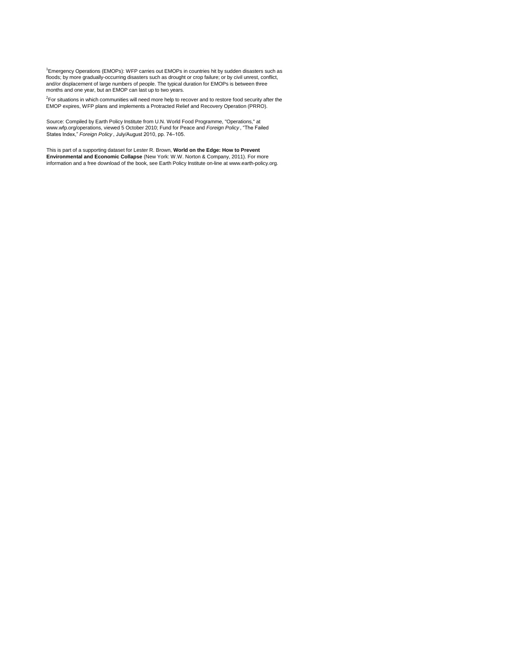<sup>1</sup>Emergency Operations (EMOPs): WFP carries out EMOPs in countries hit by sudden disasters such as floods; by more gradually-occurring disasters such as drought or crop failure; or by civil unrest, conflict, and/or displacement of large numbers of people. The typical duration for EMOPs is between three months and one year, but an EMOP can last up to two years.

<sup>2</sup>For situations in which communities will need more help to recover and to restore food security after the<br>EMOP expires, WFP plans and implements a Protracted Relief and Recovery Operation (PRRO).

Source: Compiled by Earth Policy Institute from U.N. World Food Programme, "Operations," at<br>www.wfp.org/operations, viewed 5 October 2010; Fund for Peace and *Foreign Policy* , "The Failed States Index," *Foreign Policy* , July/August 2010, pp. 74–105.

This is part of a supporting dataset for Lester R. Brown, **World on the Edge: How to Prevent**<br>**Environmental and Economic Collapse** (New York: W.W. Norton & Company, 2011). For more<br>information and a free download of the b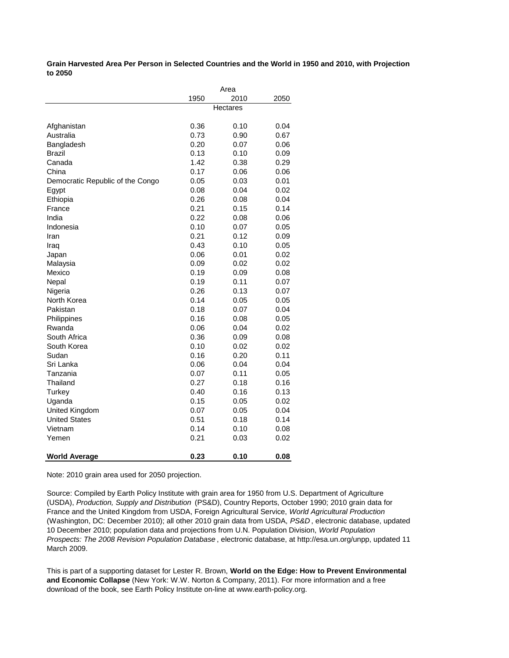**Grain Harvested Area Per Person in Selected Countries and the World in 1950 and 2010, with Projection to 2050**

|                                  | Area |                 |      |
|----------------------------------|------|-----------------|------|
|                                  | 1950 | 2010            | 2050 |
|                                  |      | <b>Hectares</b> |      |
|                                  |      |                 |      |
| Afghanistan                      | 0.36 | 0.10            | 0.04 |
| Australia                        | 0.73 | 0.90            | 0.67 |
| Bangladesh                       | 0.20 | 0.07            | 0.06 |
| Brazil                           | 0.13 | 0.10            | 0.09 |
| Canada                           | 1.42 | 0.38            | 0.29 |
| China                            | 0.17 | 0.06            | 0.06 |
| Democratic Republic of the Congo | 0.05 | 0.03            | 0.01 |
| Egypt                            | 0.08 | 0.04            | 0.02 |
| Ethiopia                         | 0.26 | 0.08            | 0.04 |
| France                           | 0.21 | 0.15            | 0.14 |
| India                            | 0.22 | 0.08            | 0.06 |
| Indonesia                        | 0.10 | 0.07            | 0.05 |
| Iran                             | 0.21 | 0.12            | 0.09 |
| Iraq                             | 0.43 | 0.10            | 0.05 |
| Japan                            | 0.06 | 0.01            | 0.02 |
| Malaysia                         | 0.09 | 0.02            | 0.02 |
| Mexico                           | 0.19 | 0.09            | 0.08 |
| Nepal                            | 0.19 | 0.11            | 0.07 |
| Nigeria                          | 0.26 | 0.13            | 0.07 |
| North Korea                      | 0.14 | 0.05            | 0.05 |
| Pakistan                         | 0.18 | 0.07            | 0.04 |
| Philippines                      | 0.16 | 0.08            | 0.05 |
| Rwanda                           | 0.06 | 0.04            | 0.02 |
| South Africa                     | 0.36 | 0.09            | 0.08 |
| South Korea                      | 0.10 | 0.02            | 0.02 |
| Sudan                            | 0.16 | 0.20            | 0.11 |
| Sri Lanka                        | 0.06 | 0.04            | 0.04 |
| Tanzania                         | 0.07 | 0.11            | 0.05 |
| Thailand                         | 0.27 | 0.18            | 0.16 |
| Turkey                           | 0.40 | 0.16            | 0.13 |
| Uganda                           | 0.15 | 0.05            | 0.02 |
| United Kingdom                   | 0.07 | 0.05            | 0.04 |
| <b>United States</b>             | 0.51 | 0.18            | 0.14 |
| Vietnam                          | 0.14 | 0.10            | 0.08 |
| Yemen                            | 0.21 | 0.03            | 0.02 |
| <b>World Average</b>             | 0.23 | 0.10            | 0.08 |

Note: 2010 grain area used for 2050 projection.

Source: Compiled by Earth Policy Institute with grain area for 1950 from U.S. Department of Agriculture (USDA), *Production, Supply and Distribution* (PS&D), Country Reports, October 1990; 2010 grain data for France and the United Kingdom from USDA, Foreign Agricultural Service, *World Agricultural Production*  (Washington, DC: December 2010); all other 2010 grain data from USDA, *PS&D* , electronic database, updated 10 December 2010; population data and projections from U.N. Population Division, *World Population Prospects: The 2008 Revision Population Database* , electronic database, at http://esa.un.org/unpp, updated 11 March 2009.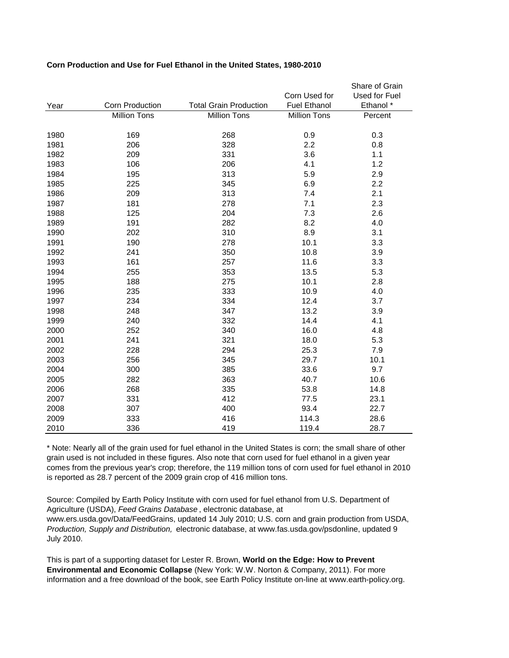|      |                        |                               |                     | Share of Grain |
|------|------------------------|-------------------------------|---------------------|----------------|
|      |                        |                               | Corn Used for       | Used for Fuel  |
| Year | <b>Corn Production</b> | <b>Total Grain Production</b> | <b>Fuel Ethanol</b> | Ethanol *      |
|      | <b>Million Tons</b>    | <b>Million Tons</b>           | <b>Million Tons</b> | Percent        |
|      |                        |                               |                     |                |
| 1980 | 169                    | 268                           | 0.9                 | 0.3            |
| 1981 | 206                    | 328                           | 2.2                 | 0.8            |
| 1982 | 209                    | 331                           | 3.6                 | 1.1            |
| 1983 | 106                    | 206                           | 4.1                 | 1.2            |
| 1984 | 195                    | 313                           | 5.9                 | 2.9            |
| 1985 | 225                    | 345                           | 6.9                 | 2.2            |
| 1986 | 209                    | 313                           | 7.4                 | 2.1            |
| 1987 | 181                    | 278                           | 7.1                 | 2.3            |
| 1988 | 125                    | 204                           | 7.3                 | 2.6            |
| 1989 | 191                    | 282                           | 8.2                 | 4.0            |
| 1990 | 202                    | 310                           | 8.9                 | 3.1            |
| 1991 | 190                    | 278                           | 10.1                | 3.3            |
| 1992 | 241                    | 350                           | 10.8                | 3.9            |
| 1993 | 161                    | 257                           | 11.6                | 3.3            |
| 1994 | 255                    | 353                           | 13.5                | 5.3            |
| 1995 | 188                    | 275                           | 10.1                | 2.8            |
| 1996 | 235                    | 333                           | 10.9                | 4.0            |
| 1997 | 234                    | 334                           | 12.4                | 3.7            |
| 1998 | 248                    | 347                           | 13.2                | 3.9            |
| 1999 | 240                    | 332                           | 14.4                | 4.1            |
| 2000 | 252                    | 340                           | 16.0                | 4.8            |
| 2001 | 241                    | 321                           | 18.0                | 5.3            |
| 2002 | 228                    | 294                           | 25.3                | 7.9            |
| 2003 | 256                    | 345                           | 29.7                | 10.1           |
| 2004 | 300                    | 385                           | 33.6                | 9.7            |
| 2005 | 282                    | 363                           | 40.7                | 10.6           |
| 2006 | 268                    | 335                           | 53.8                | 14.8           |
| 2007 | 331                    | 412                           | 77.5                | 23.1           |
| 2008 | 307                    | 400                           | 93.4                | 22.7           |
| 2009 | 333                    | 416                           | 114.3               | 28.6           |
| 2010 | 336                    | 419                           | 119.4               | 28.7           |

# **Corn Production and Use for Fuel Ethanol in the United States, 1980-2010**

\* Note: Nearly all of the grain used for fuel ethanol in the United States is corn; the small share of other grain used is not included in these figures. Also note that corn used for fuel ethanol in a given year comes from the previous year's crop; therefore, the 119 million tons of corn used for fuel ethanol in 2010 is reported as 28.7 percent of the 2009 grain crop of 416 million tons.

Source: Compiled by Earth Policy Institute with corn used for fuel ethanol from U.S. Department of Agriculture (USDA), *Feed Grains Database* , electronic database, at www.ers.usda.gov/Data/FeedGrains, updated 14 July 2010; U.S. corn and grain production from USDA, *Production, Supply and Distribution,* electronic database, at www.fas.usda.gov/psdonline, updated 9 July 2010.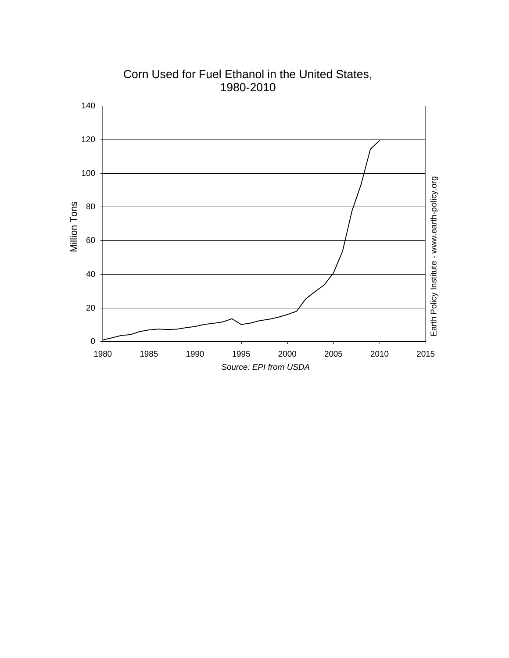

Corn Used for Fuel Ethanol in the United States, 1980-2010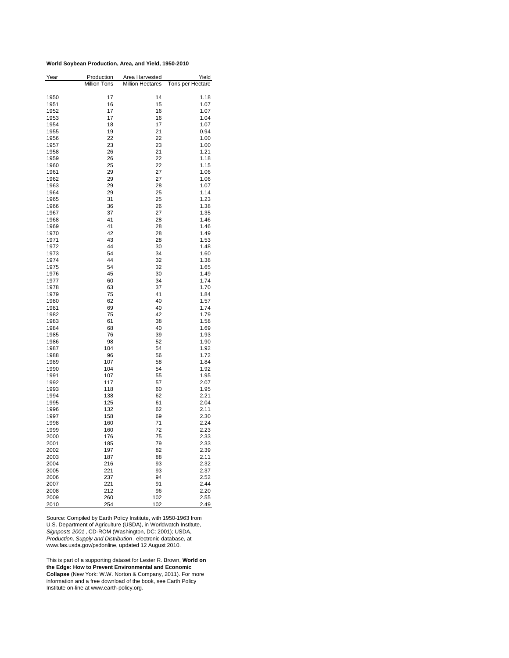#### **World Soybean Production, Area, and Yield, 1950-2010**

| Year         | Production          | Area Harvested          | Yield            |
|--------------|---------------------|-------------------------|------------------|
|              | <b>Million Tons</b> | <b>Million Hectares</b> | Tons per Hectare |
|              |                     |                         |                  |
| 1950         | 17                  | 14                      | 1.18             |
| 1951         | 16                  | 15                      | 1.07             |
| 1952         | 17                  | 16                      | 1.07             |
| 1953         | 17                  | 16                      | 1.04             |
| 1954         | 18                  | 17                      | 1.07             |
| 1955         | 19                  | 21                      | 0.94             |
| 1956         | 22                  | 22                      | 1.00             |
| 1957         | 23                  | 23                      | 1.00             |
| 1958         | 26                  | 21                      | 1.21             |
| 1959         | 26                  | 22                      | 1.18             |
| 1960         | 25                  | 22                      | 1.15             |
| 1961         | 29                  | 27                      | 1.06             |
| 1962         | 29                  | 27                      | 1.06             |
| 1963         | 29                  | 28                      | 1.07             |
| 1964         | 29                  | 25                      | 1.14             |
| 1965         | 31                  | 25                      | 1.23             |
| 1966         | 36                  | 26                      | 1.38             |
| 1967         | 37                  | 27                      | 1.35             |
| 1968         | 41                  | 28                      | 1.46             |
| 1969         | 41                  | 28                      | 1.46             |
| 1970         | 42                  | 28                      | 1.49             |
| 1971         | 43                  | 28                      | 1.53             |
| 1972         | 44                  | 30                      | 1.48             |
| 1973         | 54                  | 34                      | 1.60             |
| 1974         | 44                  | 32                      | 1.38             |
| 1975         | 54                  | 32                      | 1.65             |
| 1976         | 45                  | 30                      | 1.49             |
| 1977         | 60                  | 34                      | 1.74             |
| 1978         | 63                  | 37                      | 1.70             |
| 1979         | 75                  | 41                      | 1.84             |
| 1980         | 62                  | 40                      | 1.57             |
| 1981         | 69                  | 40                      | 1.74             |
| 1982         | 75                  | 42                      | 1.79             |
| 1983         | 61                  | 38                      | 1.58             |
| 1984         | 68<br>76            | 40<br>39                | 1.69             |
| 1985<br>1986 | 98                  | 52                      | 1.93<br>1.90     |
| 1987         | 104                 | 54                      | 1.92             |
| 1988         | 96                  | 56                      | 1.72             |
| 1989         | 107                 | 58                      | 1.84             |
| 1990         | 104                 | 54                      | 1.92             |
| 1991         | 107                 | 55                      | 1.95             |
| 1992         | 117                 | 57                      | 2.07             |
| 1993         | 118                 | 60                      | 1.95             |
| 1994         | 138                 | 62                      | 2.21             |
| 1995         | 125                 | 61                      | 2.04             |
| 1996         | 132                 | 62                      | 2.11             |
| 1997         | 158                 | 69                      | 2.30             |
| 1998         | 160                 | 71                      | 2.24             |
| 1999         | 160                 | 72                      | 2.23             |
| 2000         | 176                 | 75                      | 2.33             |
| 2001         | 185                 | 79                      | 2.33             |
| 2002         | 197                 | 82                      | 2.39             |
| 2003         | 187                 | 88                      | 2.11             |
| 2004         | 216                 | 93                      | 2.32             |
| 2005         | 221                 | 93                      | 2.37             |
| 2006         | 237                 | 94                      | 2.52             |
| 2007         | 221                 | 91                      | 2.44             |
| 2008         | 212                 | 96                      | 2.20             |
| 2009         | 260                 | 102                     | 2.55             |
| 2010         | 254                 | 102                     | 2.49             |

Source: Compiled by Earth Policy Institute, with 1950-1963 from U.S. Department of Agriculture (USDA), in Worldwatch Institute, *Signposts 2001* , CD-ROM (Washington, DC: 2001); USDA, *Production, Supply and Distribution* , electronic database, at www.fas.usda.gov/psdonline, updated 12 August 2010.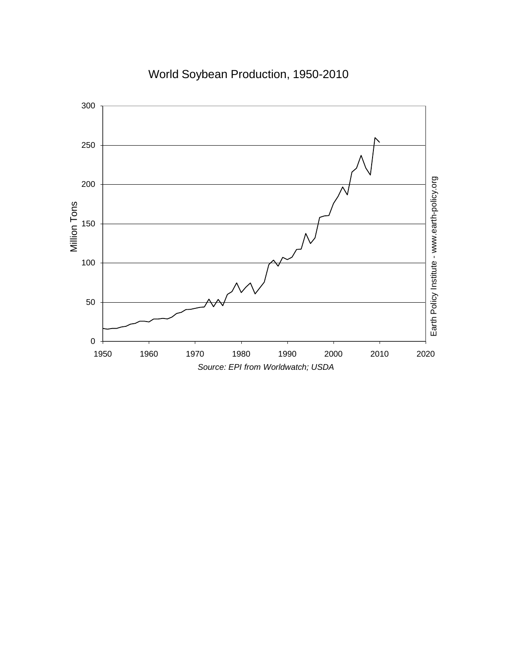# World Soybean Production, 1950 -2010

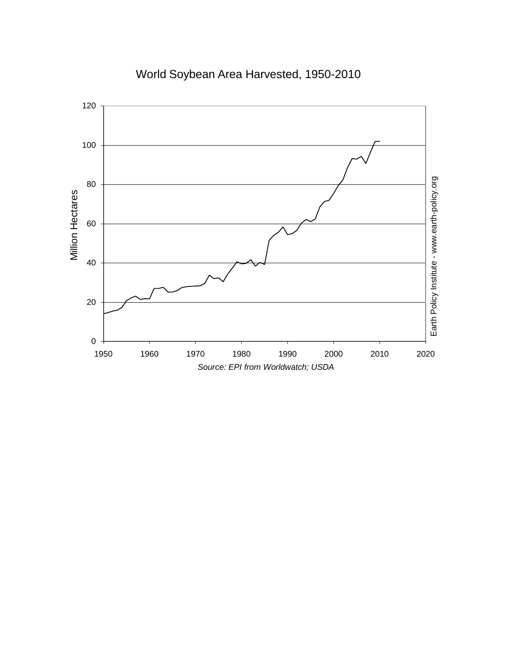

World Soybean Area Harvested, 1950-2010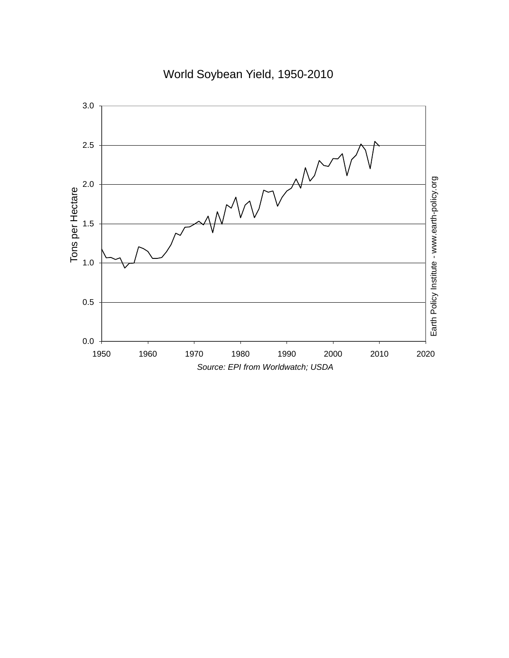World Soybean Yield, 1950 -2010

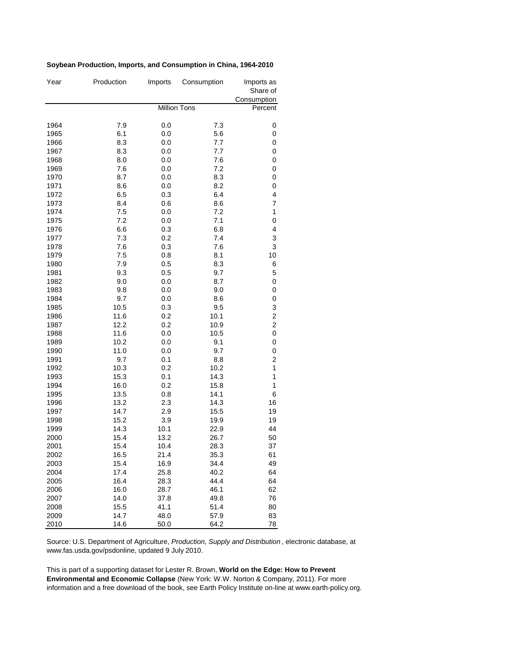## **Soybean Production, Imports, and Consumption in China, 1964-2010**

| Year         | Production   | Imports             | Consumption  | Imports as<br>Share of<br>Consumption |
|--------------|--------------|---------------------|--------------|---------------------------------------|
|              |              | <b>Million Tons</b> | Percent      |                                       |
| 1964         | 7.9          | 0.0                 | 7.3          | 0                                     |
| 1965         | 6.1          | 0.0                 | 5.6          | 0                                     |
| 1966         | 8.3          | 0.0                 | 7.7          | 0                                     |
| 1967         | 8.3          | 0.0                 | 7.7          | 0                                     |
| 1968         | 8.0          | 0.0                 | 7.6          | 0                                     |
| 1969         | 7.6          | 0.0                 | 7.2          | 0                                     |
| 1970         | 8.7          | 0.0                 | 8.3          | $\pmb{0}$                             |
| 1971         | 8.6          | 0.0                 | 8.2          | $\mathbf 0$                           |
| 1972         | 6.5          | 0.3                 | 6.4          | 4                                     |
| 1973         | 8.4          | 0.6                 | 8.6          | $\overline{7}$                        |
| 1974         | 7.5          | 0.0                 | 7.2          | 1                                     |
| 1975         | 7.2          | 0.0                 | 7.1          | $\mathbf 0$                           |
| 1976         | 6.6          | 0.3                 | 6.8          | 4                                     |
| 1977         | 7.3          | 0.2                 | 7.4          | 3                                     |
| 1978         | 7.6          | 0.3                 | 7.6          | 3                                     |
| 1979         | 7.5          | 0.8                 | 8.1          | 10                                    |
| 1980         | 7.9          | 0.5                 | 8.3          | 6                                     |
| 1981         | 9.3          | 0.5                 | 9.7          | 5                                     |
| 1982         | 9.0          | 0.0                 | 8.7          | 0                                     |
| 1983         | 9.8          | 0.0                 | 9.0          | $\pmb{0}$                             |
| 1984         | 9.7          | 0.0                 | 8.6          | 0                                     |
| 1985         | 10.5         | 0.3                 | 9.5          | 3                                     |
| 1986         | 11.6         | 0.2                 | 10.1         | $\overline{\mathbf{c}}$               |
| 1987         | 12.2         | 0.2                 | 10.9         | $\overline{c}$                        |
| 1988         | 11.6         | 0.0                 | 10.5         | $\mathbf 0$                           |
| 1989         | 10.2         | 0.0                 | 9.1          | $\mathbf 0$                           |
| 1990         | 11.0         | 0.0                 | 9.7          | $\mathbf 0$                           |
| 1991         | 9.7          | 0.1                 | 8.8          | $\overline{\mathbf{c}}$               |
| 1992         | 10.3         | 0.2                 | 10.2         | 1                                     |
| 1993         | 15.3         | 0.1                 | 14.3         | 1                                     |
| 1994         | 16.0         | 0.2                 | 15.8         | 1<br>6                                |
| 1995<br>1996 | 13.5<br>13.2 | 0.8<br>2.3          | 14.1<br>14.3 | 16                                    |
| 1997         | 14.7         | 2.9                 | 15.5         | 19                                    |
| 1998         | 15.2         | 3.9                 | 19.9         | 19                                    |
| 1999         | 14.3         | 10.1                | 22.9         | 44                                    |
| 2000         | 15.4         | 13.2                | 26.7         | 50                                    |
| 2001         | 15.4         | 10.4                | 28.3         | 37                                    |
| 2002         | 16.5         | 21.4                | 35.3         | 61                                    |
| 2003         | 15.4         | 16.9                | 34.4         | 49                                    |
| 2004         | 17.4         | 25.8                | 40.2         | 64                                    |
| 2005         | 16.4         | 28.3                | 44.4         | 64                                    |
| 2006         | 16.0         | 28.7                | 46.1         | 62                                    |
| 2007         | 14.0         | 37.8                | 49.8         | 76                                    |
| 2008         | 15.5         | 41.1                | 51.4         | 80                                    |
| 2009         | 14.7         | 48.0                | 57.9         | 83                                    |
| 2010         | 14.6         | 50.0                | 64.2         | 78                                    |

Source: U.S. Department of Agriculture, *Production, Supply and Distribution* , electronic database, at www.fas.usda.gov/psdonline, updated 9 July 2010.